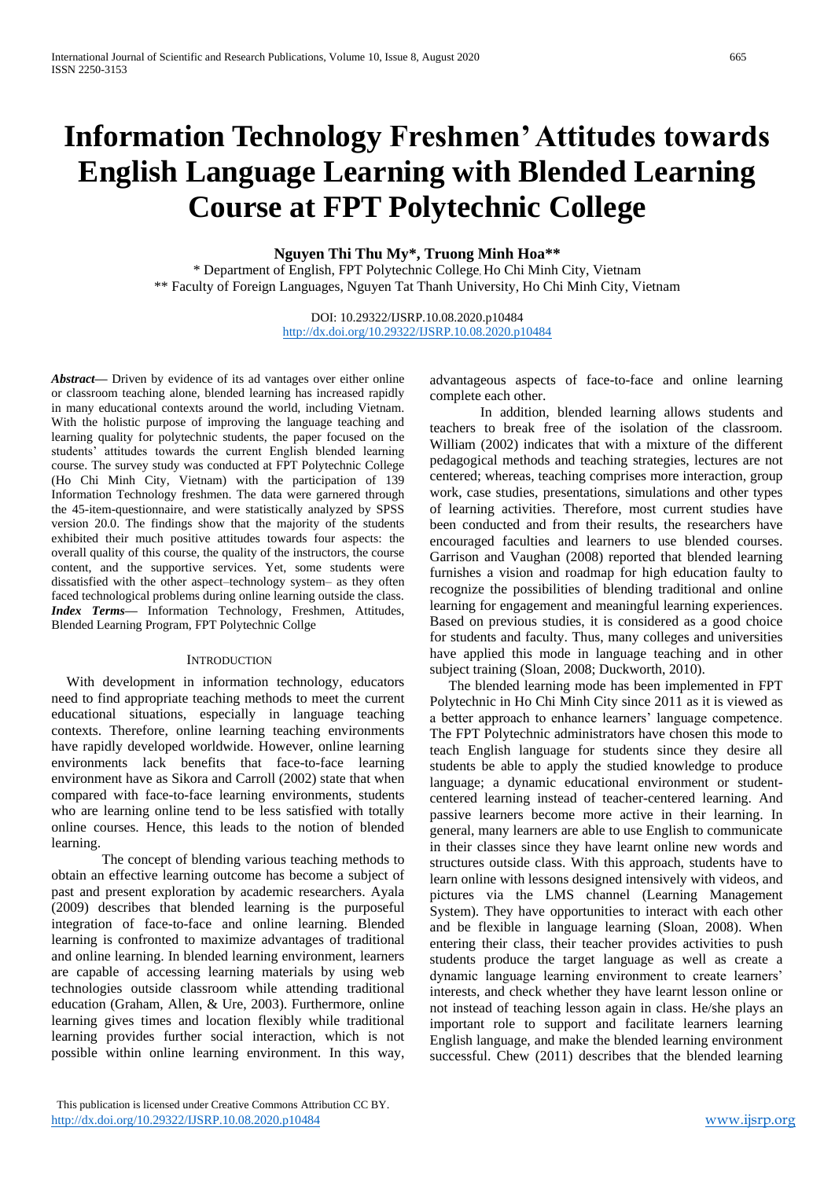# **Information Technology Freshmen' Attitudes towards English Language Learning with Blended Learning Course at FPT Polytechnic College**

**Nguyen Thi Thu My\*, Truong Minh Hoa\*\***

\* Department of English, FPT Polytechnic College, Ho Chi Minh City, Vietnam \*\* Faculty of Foreign Languages, Nguyen Tat Thanh University, Ho Chi Minh City, Vietnam

> DOI: 10.29322/IJSRP.10.08.2020.p10484 <http://dx.doi.org/10.29322/IJSRP.10.08.2020.p10484>

*Abstract***—** Driven by evidence of its ad vantages over either online or classroom teaching alone, blended learning has increased rapidly in many educational contexts around the world, including Vietnam. With the holistic purpose of improving the language teaching and learning quality for polytechnic students, the paper focused on the students' attitudes towards the current English blended learning course. The survey study was conducted at FPT Polytechnic College (Ho Chi Minh City, Vietnam) with the participation of 139 Information Technology freshmen. The data were garnered through the 45-item-questionnaire, and were statistically analyzed by SPSS version 20.0. The findings show that the majority of the students exhibited their much positive attitudes towards four aspects: the overall quality of this course, the quality of the instructors, the course content, and the supportive services. Yet, some students were dissatisfied with the other aspect–technology system– as they often faced technological problems during online learning outside the class. *Index Terms—* Information Technology, Freshmen, Attitudes, Blended Learning Program, FPT Polytechnic Collge

#### **INTRODUCTION**

With development in information technology, educators need to find appropriate teaching methods to meet the current educational situations, especially in language teaching contexts. Therefore, online learning teaching environments have rapidly developed worldwide. However, online learning environments lack benefits that face-to-face learning environment have as Sikora and Carroll (2002) state that when compared with face-to-face learning environments, students who are learning online tend to be less satisfied with totally online courses. Hence, this leads to the notion of blended learning.

The concept of blending various teaching methods to obtain an effective learning outcome has become a subject of past and present exploration by academic researchers. Ayala (2009) describes that blended learning is the purposeful integration of face-to-face and online learning. Blended learning is confronted to maximize advantages of traditional and online learning. In blended learning environment, learners are capable of accessing learning materials by using web technologies outside classroom while attending traditional education (Graham, Allen, & Ure, 2003). Furthermore, online learning gives times and location flexibly while traditional learning provides further social interaction, which is not possible within online learning environment. In this way,

advantageous aspects of face-to-face and online learning complete each other.

In addition, blended learning allows students and teachers to break free of the isolation of the classroom. William (2002) indicates that with a mixture of the different pedagogical methods and teaching strategies, lectures are not centered; whereas, teaching comprises more interaction, group work, case studies, presentations, simulations and other types of learning activities. Therefore, most current studies have been conducted and from their results, the researchers have encouraged faculties and learners to use blended courses. Garrison and Vaughan (2008) reported that blended learning furnishes a vision and roadmap for high education faulty to recognize the possibilities of blending traditional and online learning for engagement and meaningful learning experiences. Based on previous studies, it is considered as a good choice for students and faculty. Thus, many colleges and universities have applied this mode in language teaching and in other subject training (Sloan, 2008; Duckworth, 2010).

The blended learning mode has been implemented in FPT Polytechnic in Ho Chi Minh City since 2011 as it is viewed as a better approach to enhance learners' language competence. The FPT Polytechnic administrators have chosen this mode to teach English language for students since they desire all students be able to apply the studied knowledge to produce language; a dynamic educational environment or studentcentered learning instead of teacher-centered learning. And passive learners become more active in their learning. In general, many learners are able to use English to communicate in their classes since they have learnt online new words and structures outside class. With this approach, students have to learn online with lessons designed intensively with videos, and pictures via the LMS channel (Learning Management System). They have opportunities to interact with each other and be flexible in language learning (Sloan, 2008). When entering their class, their teacher provides activities to push students produce the target language as well as create a dynamic language learning environment to create learners' interests, and check whether they have learnt lesson online or not instead of teaching lesson again in class. He/she plays an important role to support and facilitate learners learning English language, and make the blended learning environment successful. Chew (2011) describes that the blended learning

This publication is licensed under Creative Commons Attribution CC BY. <http://dx.doi.org/10.29322/IJSRP.10.08.2020.p10484> [www.ijsrp.org](http://ijsrp.org/)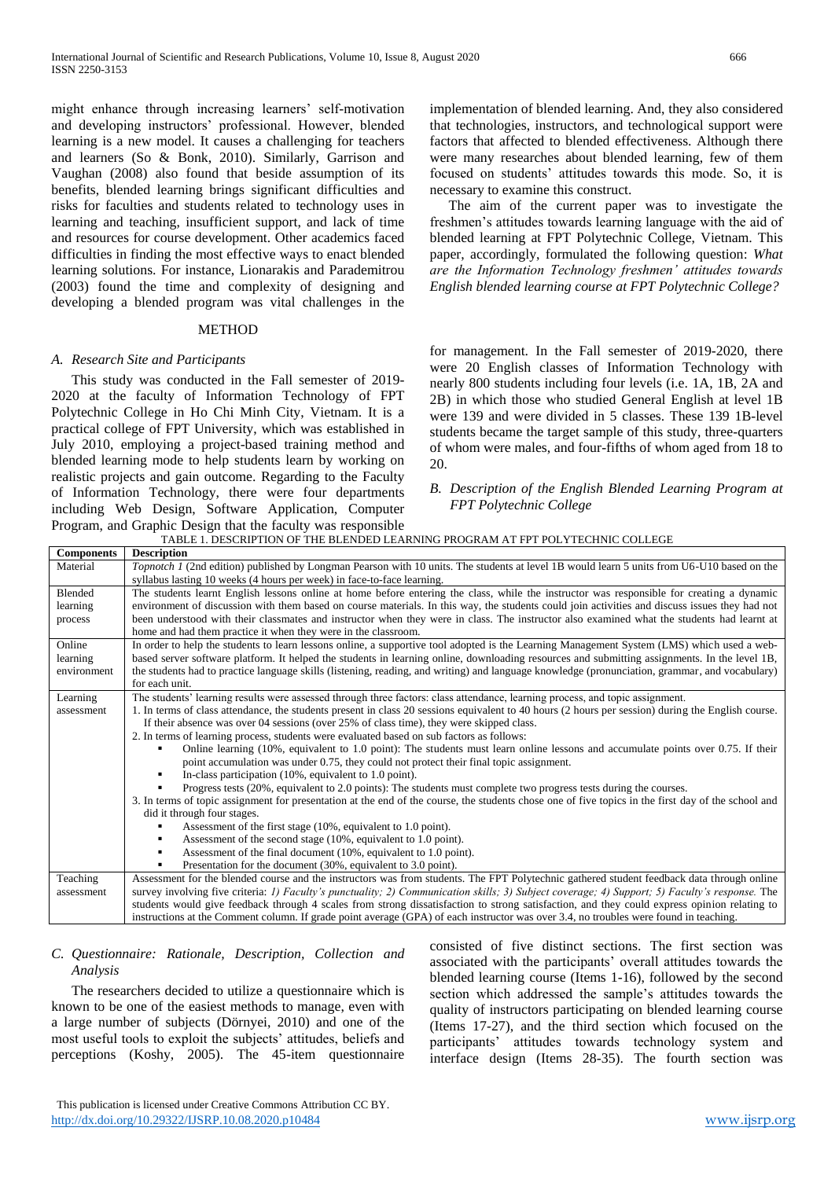might enhance through increasing learners' self-motivation and developing instructors' professional. However, blended learning is a new model. It causes a challenging for teachers and learners (So & Bonk, 2010). Similarly, Garrison and Vaughan (2008) also found that beside assumption of its benefits, blended learning brings significant difficulties and risks for faculties and students related to technology uses in learning and teaching, insufficient support, and lack of time and resources for course development. Other academics faced difficulties in finding the most effective ways to enact blended learning solutions. For instance, Lionarakis and Parademitrou (2003) found the time and complexity of designing and developing a blended program was vital challenges in the

# **METHOD**

## *A. Research Site and Participants*

This study was conducted in the Fall semester of 2019- 2020 at the faculty of Information Technology of FPT Polytechnic College in Ho Chi Minh City, Vietnam. It is a practical college of FPT University, which was established in July 2010, employing a project-based training method and blended learning mode to help students learn by working on realistic projects and gain outcome. Regarding to the Faculty of Information Technology, there were four departments including Web Design, Software Application, Computer Program, and Graphic Design that the faculty was responsible implementation of blended learning. And, they also considered that technologies, instructors, and technological support were factors that affected to blended effectiveness. Although there were many researches about blended learning, few of them focused on students' attitudes towards this mode. So, it is necessary to examine this construct.

The aim of the current paper was to investigate the freshmen's attitudes towards learning language with the aid of blended learning at FPT Polytechnic College, Vietnam. This paper, accordingly, formulated the following question: *What are the Information Technology freshmen' attitudes towards English blended learning course at FPT Polytechnic College?*

for management. In the Fall semester of 2019-2020, there were 20 English classes of Information Technology with nearly 800 students including four levels (i.e. 1A, 1B, 2A and 2B) in which those who studied General English at level 1B were 139 and were divided in 5 classes. These 139 1B-level students became the target sample of this study, three-quarters of whom were males, and four-fifths of whom aged from 18 to 20.

*B. Description of the English Blended Learning Program at FPT Polytechnic College*

TABLE 1. DESCRIPTION OF THE BLENDED LEARNING PROGRAM AT FPT POLYTECHNIC COLLEGE **Components Description** Material *Topnotch 1* (2nd edition) published by Longman Pearson with 10 units. The students at level 1B would learn 5 units from U6-U10 based on the syllabus lasting 10 weeks (4 hours per week) in face-to-face learning. Blended learning process The students learnt English lessons online at home before entering the class, while the instructor was responsible for creating a dynamic environment of discussion with them based on course materials. In this way, the students could join activities and discuss issues they had not been understood with their classmates and instructor when they were in class. The instructor also examined what the students had learnt at home and had them practice it when they were in the classroom. Online learning environment In order to help the students to learn lessons online, a supportive tool adopted is the Learning Management System (LMS) which used a webbased server software platform. It helped the students in learning online, downloading resources and submitting assignments. In the level 1B, the students had to practice language skills (listening, reading, and writing) and language knowledge (pronunciation, grammar, and vocabulary) for each unit. Learning assessment The students' learning results were assessed through three factors: class attendance, learning process, and topic assignment. 1. In terms of class attendance, the students present in class 20 sessions equivalent to 40 hours (2 hours per session) during the English course. If their absence was over 04 sessions (over 25% of class time), they were skipped class. 2. In terms of learning process, students were evaluated based on sub factors as follows: Online learning (10%, equivalent to 1.0 point): The students must learn online lessons and accumulate points over 0.75. If their point accumulation was under 0.75, they could not protect their final topic assignment. In-class participation (10%, equivalent to 1.0 point). Progress tests (20%, equivalent to 2.0 points): The students must complete two progress tests during the courses. 3. In terms of topic assignment for presentation at the end of the course, the students chose one of five topics in the first day of the school and did it through four stages. Assessment of the first stage (10%, equivalent to 1.0 point). Assessment of the second stage (10%, equivalent to 1.0 point). Assessment of the final document (10%, equivalent to 1.0 point). Presentation for the document (30%, equivalent to 3.0 point). Teaching assessment Assessment for the blended course and the instructors was from students. The FPT Polytechnic gathered student feedback data through online survey involving five criteria: *1) Faculty's punctuality; 2) Communication skills; 3) Subject coverage; 4) Support; 5) Faculty's response.* The students would give feedback through 4 scales from strong dissatisfaction to strong satisfaction, and they could express opinion relating to instructions at the Comment column. If grade point average (GPA) of each instructor was over 3.4, no troubles were found in teaching.

# *C. Questionnaire: Rationale, Description, Collection and Analysis*

The researchers decided to utilize a questionnaire which is known to be one of the easiest methods to manage, even with a large number of subjects (Dörnyei, 2010) and one of the most useful tools to exploit the subjects' attitudes, beliefs and perceptions (Koshy, 2005). The 45-item questionnaire

consisted of five distinct sections. The first section was associated with the participants' overall attitudes towards the blended learning course (Items 1-16), followed by the second section which addressed the sample's attitudes towards the quality of instructors participating on blended learning course (Items 17-27), and the third section which focused on the participants' attitudes towards technology system and interface design (Items 28-35). The fourth section was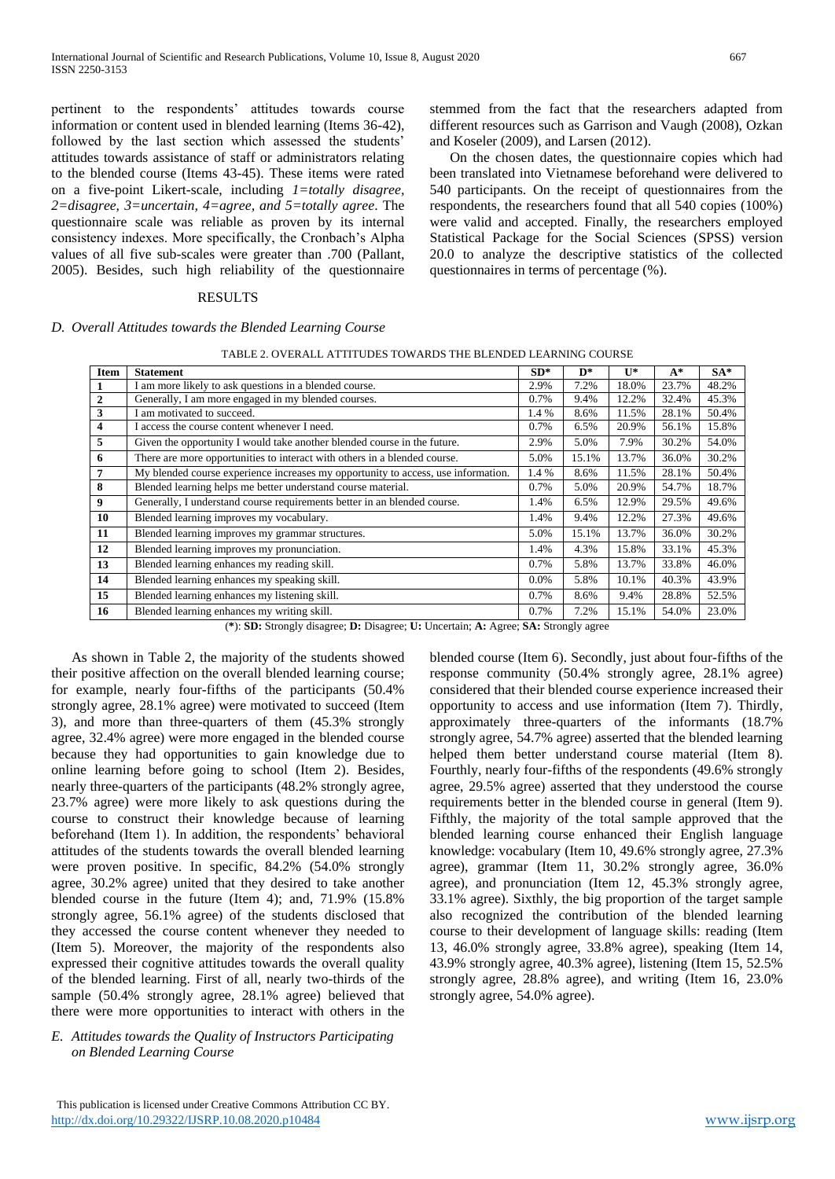pertinent to the respondents' attitudes towards course information or content used in blended learning (Items 36-42), followed by the last section which assessed the students' attitudes towards assistance of staff or administrators relating to the blended course (Items 43-45). These items were rated on a five-point Likert-scale, including *1=totally disagree, 2=disagree, 3=uncertain, 4=agree, and 5=totally agree*. The questionnaire scale was reliable as proven by its internal consistency indexes. More specifically, the Cronbach's Alpha values of all five sub-scales were greater than .700 (Pallant, 2005). Besides, such high reliability of the questionnaire

# RESULTS

# *D. Overall Attitudes towards the Blended Learning Course*

| TABLE 2. OVERALL ATTITUDES TOWARDS THE BLENDED LEARNING COURSE |  |
|----------------------------------------------------------------|--|
|                                                                |  |

| Item             | <b>Statement</b>                                                                  | $SD*$   | D*    | $\mathbf{U}^*$ | $A^*$ | $SA*$ |
|------------------|-----------------------------------------------------------------------------------|---------|-------|----------------|-------|-------|
| 1                | I am more likely to ask questions in a blended course.                            | 2.9%    | 7.2%  | 18.0%          | 23.7% | 48.2% |
| $\boldsymbol{2}$ | Generally, I am more engaged in my blended courses.                               | 0.7%    | 9.4%  | 12.2%          | 32.4% | 45.3% |
| 3                | I am motivated to succeed.                                                        | 1.4 %   | 8.6%  | 11.5%          | 28.1% | 50.4% |
| 4                | I access the course content whenever I need.                                      | 0.7%    | 6.5%  | 20.9%          | 56.1% | 15.8% |
| 5                | Given the opportunity I would take another blended course in the future.          | 2.9%    | 5.0%  | 7.9%           | 30.2% | 54.0% |
| 6                | There are more opportunities to interact with others in a blended course.         | 5.0%    | 15.1% | 13.7%          | 36.0% | 30.2% |
| $\overline{7}$   | My blended course experience increases my opportunity to access, use information. | 1.4 %   | 8.6%  | 11.5%          | 28.1% | 50.4% |
| 8                | Blended learning helps me better understand course material.                      | 0.7%    | 5.0%  | 20.9%          | 54.7% | 18.7% |
| 9                | Generally, I understand course requirements better in an blended course.          | 1.4%    | 6.5%  | 12.9%          | 29.5% | 49.6% |
| 10               | Blended learning improves my vocabulary.                                          | 1.4%    | 9.4%  | 12.2%          | 27.3% | 49.6% |
| 11               | Blended learning improves my grammar structures.                                  | 5.0%    | 15.1% | 13.7%          | 36.0% | 30.2% |
| 12               | Blended learning improves my pronunciation.                                       | 1.4%    | 4.3%  | 15.8%          | 33.1% | 45.3% |
| 13               | Blended learning enhances my reading skill.                                       | 0.7%    | 5.8%  | 13.7%          | 33.8% | 46.0% |
| 14               | Blended learning enhances my speaking skill.                                      | $0.0\%$ | 5.8%  | 10.1%          | 40.3% | 43.9% |
| 15               | Blended learning enhances my listening skill.                                     | 0.7%    | 8.6%  | 9.4%           | 28.8% | 52.5% |
| 16               | Blended learning enhances my writing skill.                                       | 0.7%    | 7.2%  | 15.1%          | 54.0% | 23.0% |

(**\***): **SD:** Strongly disagree; **D:** Disagree; **U:** Uncertain; **A:** Agree; **SA:** Strongly agree

As shown in Table 2, the majority of the students showed their positive affection on the overall blended learning course; for example, nearly four-fifths of the participants (50.4% strongly agree, 28.1% agree) were motivated to succeed (Item 3), and more than three-quarters of them (45.3% strongly agree, 32.4% agree) were more engaged in the blended course because they had opportunities to gain knowledge due to online learning before going to school (Item 2). Besides, nearly three-quarters of the participants (48.2% strongly agree, 23.7% agree) were more likely to ask questions during the course to construct their knowledge because of learning beforehand (Item 1). In addition, the respondents' behavioral attitudes of the students towards the overall blended learning were proven positive. In specific, 84.2% (54.0% strongly agree, 30.2% agree) united that they desired to take another blended course in the future (Item 4); and, 71.9% (15.8% strongly agree, 56.1% agree) of the students disclosed that they accessed the course content whenever they needed to (Item 5). Moreover, the majority of the respondents also expressed their cognitive attitudes towards the overall quality of the blended learning. First of all, nearly two-thirds of the sample (50.4% strongly agree, 28.1% agree) believed that there were more opportunities to interact with others in the

*E. Attitudes towards the Quality of Instructors Participating on Blended Learning Course* 

 This publication is licensed under Creative Commons Attribution CC BY. <http://dx.doi.org/10.29322/IJSRP.10.08.2020.p10484> [www.ijsrp.org](http://ijsrp.org/)

blended course (Item 6). Secondly, just about four-fifths of the response community (50.4% strongly agree, 28.1% agree) considered that their blended course experience increased their opportunity to access and use information (Item 7). Thirdly, approximately three-quarters of the informants (18.7% strongly agree, 54.7% agree) asserted that the blended learning helped them better understand course material (Item 8). Fourthly, nearly four-fifths of the respondents (49.6% strongly agree, 29.5% agree) asserted that they understood the course requirements better in the blended course in general (Item 9). Fifthly, the majority of the total sample approved that the blended learning course enhanced their English language knowledge: vocabulary (Item 10, 49.6% strongly agree, 27.3% agree), grammar (Item 11, 30.2% strongly agree, 36.0% agree), and pronunciation (Item 12, 45.3% strongly agree, 33.1% agree). Sixthly, the big proportion of the target sample also recognized the contribution of the blended learning course to their development of language skills: reading (Item 13, 46.0% strongly agree, 33.8% agree), speaking (Item 14, 43.9% strongly agree, 40.3% agree), listening (Item 15, 52.5% strongly agree, 28.8% agree), and writing (Item 16, 23.0% strongly agree, 54.0% agree).

stemmed from the fact that the researchers adapted from different resources such as Garrison and Vaugh (2008), Ozkan

On the chosen dates, the questionnaire copies which had been translated into Vietnamese beforehand were delivered to 540 participants. On the receipt of questionnaires from the respondents, the researchers found that all 540 copies (100%) were valid and accepted. Finally, the researchers employed Statistical Package for the Social Sciences (SPSS) version 20.0 to analyze the descriptive statistics of the collected

and Koseler (2009), and Larsen (2012).

questionnaires in terms of percentage (%).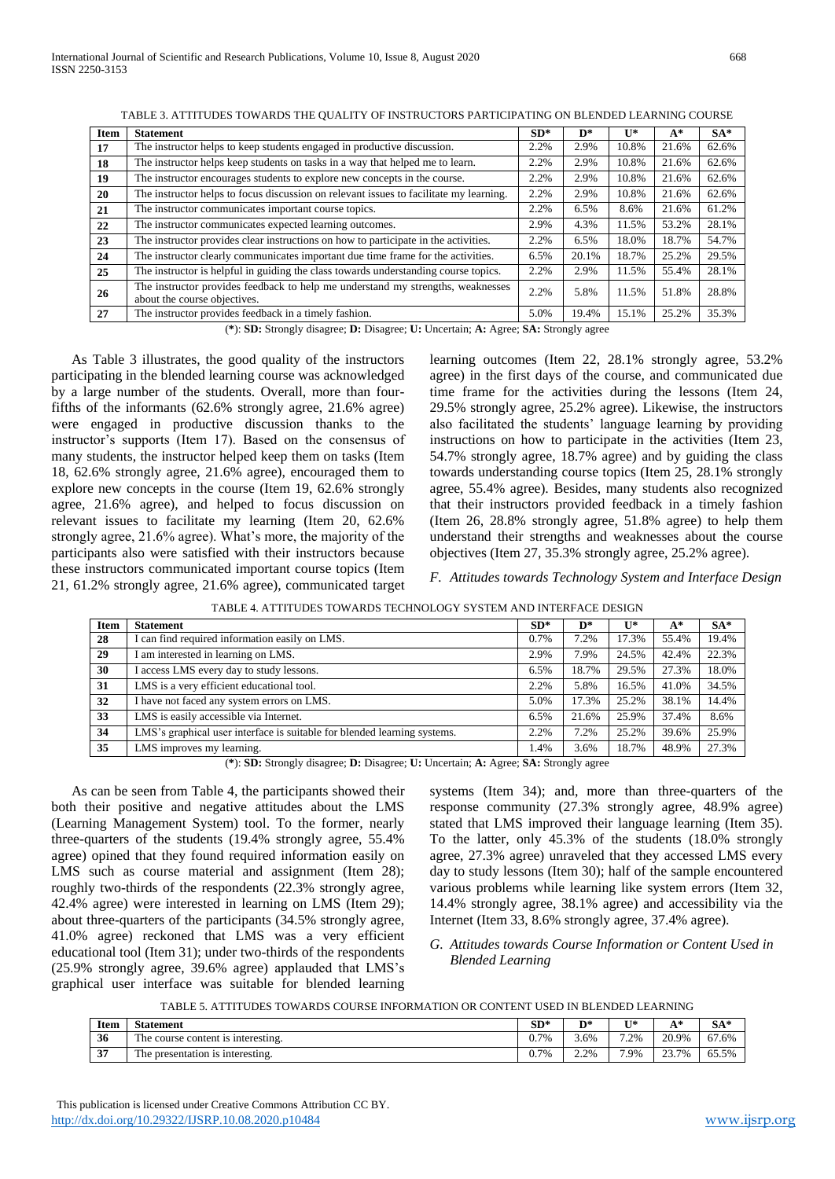| <b>Item</b> | <b>Statement</b>                                                                                                | $SD*$ | D*    | $\mathbf{U}^*$ | $A^*$ | $SA*$ |
|-------------|-----------------------------------------------------------------------------------------------------------------|-------|-------|----------------|-------|-------|
| 17          | The instructor helps to keep students engaged in productive discussion.                                         | 2.2%  | 2.9%  | 10.8%          | 21.6% | 62.6% |
| 18          | The instructor helps keep students on tasks in a way that helped me to learn.                                   | 2.2%  | 2.9%  | 10.8%          | 21.6% | 62.6% |
| 19          | The instructor encourages students to explore new concepts in the course.                                       | 2.2%  | 2.9%  | 10.8%          | 21.6% | 62.6% |
| 20          | The instructor helps to focus discussion on relevant issues to facilitate my learning.                          | 2.2%  | 2.9%  | 10.8%          | 21.6% | 62.6% |
| 21          | The instructor communicates important course topics.                                                            | 2.2%  | 6.5%  | 8.6%           | 21.6% | 61.2% |
| 22          | The instructor communicates expected learning outcomes.                                                         | 2.9%  | 4.3%  | 11.5%          | 53.2% | 28.1% |
| 23          | The instructor provides clear instructions on how to participate in the activities.                             | 2.2%  | 6.5%  | 18.0%          | 18.7% | 54.7% |
| 24          | The instructor clearly communicates important due time frame for the activities.                                | 6.5%  | 20.1% | 18.7%          | 25.2% | 29.5% |
| 25          | The instructor is helpful in guiding the class towards understanding course topics.                             | 2.2%  | 2.9%  | 11.5%          | 55.4% | 28.1% |
| 26          | The instructor provides feedback to help me understand my strengths, weaknesses<br>about the course objectives. | 2.2%  | 5.8%  | 11.5%          | 51.8% | 28.8% |
| 27          | The instructor provides feedback in a timely fashion.                                                           | 5.0%  | 19.4% | 15.1%          | 25.2% | 35.3% |

TABLE 3. ATTITUDES TOWARDS THE QUALITY OF INSTRUCTORS PARTICIPATING ON BLENDED LEARNING COURSE

(**\***): **SD:** Strongly disagree; **D:** Disagree; **U:** Uncertain; **A:** Agree; **SA:** Strongly agree

As Table 3 illustrates, the good quality of the instructors participating in the blended learning course was acknowledged by a large number of the students. Overall, more than fourfifths of the informants (62.6% strongly agree, 21.6% agree) were engaged in productive discussion thanks to the instructor's supports (Item 17). Based on the consensus of many students, the instructor helped keep them on tasks (Item 18, 62.6% strongly agree, 21.6% agree), encouraged them to explore new concepts in the course (Item 19, 62.6% strongly agree, 21.6% agree), and helped to focus discussion on relevant issues to facilitate my learning (Item 20, 62.6% strongly agree, 21.6% agree). What's more, the majority of the participants also were satisfied with their instructors because these instructors communicated important course topics (Item 21, 61.2% strongly agree, 21.6% agree), communicated target

learning outcomes (Item 22, 28.1% strongly agree, 53.2% agree) in the first days of the course, and communicated due time frame for the activities during the lessons (Item 24, 29.5% strongly agree, 25.2% agree). Likewise, the instructors also facilitated the students' language learning by providing instructions on how to participate in the activities (Item 23, 54.7% strongly agree, 18.7% agree) and by guiding the class towards understanding course topics (Item 25, 28.1% strongly agree, 55.4% agree). Besides, many students also recognized that their instructors provided feedback in a timely fashion (Item 26, 28.8% strongly agree, 51.8% agree) to help them understand their strengths and weaknesses about the course objectives (Item 27, 35.3% strongly agree, 25.2% agree).

*F. Attitudes towards Technology System and Interface Design*

| <b>Item</b> | <b>Statement</b>                                                         | $SD*$ | $\mathbf{D}^*$ | $\mathbf{U}^*$ | $A^*$ | $SA*$ |  |
|-------------|--------------------------------------------------------------------------|-------|----------------|----------------|-------|-------|--|
| 28          | I can find required information easily on LMS.                           | 0.7%  | 7.2%           | 17.3%          | 55.4% | 19.4% |  |
| 29          | I am interested in learning on LMS.                                      | 2.9%  | 7.9%           | 24.5%          | 42.4% | 22.3% |  |
| 30          | I access LMS every day to study lessons.                                 | 6.5%  | 18.7%          | 29.5%          | 27.3% | 18.0% |  |
| 31          | LMS is a very efficient educational tool.                                | 2.2%  | 5.8%           | 16.5%          | 41.0% | 34.5% |  |
| 32          | I have not faced any system errors on LMS.                               | 5.0%  | 17.3%          | 25.2%          | 38.1% | 14.4% |  |
| 33          | LMS is easily accessible via Internet.                                   | 6.5%  | 21.6%          | 25.9%          | 37.4% | 8.6%  |  |
| 34          | LMS's graphical user interface is suitable for blended learning systems. | 2.2%  | 7.2%           | 25.2%          | 39.6% | 25.9% |  |
| 35          | LMS improves my learning.                                                | 1.4%  | 3.6%           | 18.7%          | 48.9% | 27.3% |  |
|             |                                                                          |       |                |                |       |       |  |

TABLE 4. ATTITUDES TOWARDS TECHNOLOGY SYSTEM AND INTERFACE DESIGN

(**\***): **SD:** Strongly disagree; **D:** Disagree; **U:** Uncertain; **A:** Agree; **SA:** Strongly agree

As can be seen from Table 4, the participants showed their both their positive and negative attitudes about the LMS (Learning Management System) tool. To the former, nearly three-quarters of the students (19.4% strongly agree, 55.4% agree) opined that they found required information easily on LMS such as course material and assignment (Item 28); roughly two-thirds of the respondents (22.3% strongly agree, 42.4% agree) were interested in learning on LMS (Item 29); about three-quarters of the participants (34.5% strongly agree, 41.0% agree) reckoned that LMS was a very efficient educational tool (Item 31); under two-thirds of the respondents (25.9% strongly agree, 39.6% agree) applauded that LMS's graphical user interface was suitable for blended learning

systems (Item 34); and, more than three-quarters of the response community (27.3% strongly agree, 48.9% agree) stated that LMS improved their language learning (Item 35). To the latter, only 45.3% of the students (18.0% strongly agree, 27.3% agree) unraveled that they accessed LMS every day to study lessons (Item 30); half of the sample encountered various problems while learning like system errors (Item 32, 14.4% strongly agree, 38.1% agree) and accessibility via the Internet (Item 33, 8.6% strongly agree, 37.4% agree).

# *G. Attitudes towards Course Information or Content Used in Blended Learning*

TABLE 5. ATTITUDES TOWARDS COURSE INFORMATION OR CONTENT USED IN BLENDED LEARNING

| Item | <b>Statement</b>                                                | $SD*$         | D*              | T <sub>1</sub> * | $\mathbf{A}^*$<br>$\overline{1}$ | $SA*$ |
|------|-----------------------------------------------------------------|---------------|-----------------|------------------|----------------------------------|-------|
| 36   | <b>COMPANY</b><br>The course content is interesting.            | $.7\%$<br>v., | 3.6%            | $2\%$            | 20.9%                            | 67.6% |
| 37   | <b>COMPANY</b><br>interesting.<br>The presentation<br><b>1S</b> | 7%<br>υ.,     | 2.2%<br>2. 27 U | '.9%             | 23.70%<br>2.3.170                | 65.5% |

 This publication is licensed under Creative Commons Attribution CC BY. <http://dx.doi.org/10.29322/IJSRP.10.08.2020.p10484> [www.ijsrp.org](http://ijsrp.org/)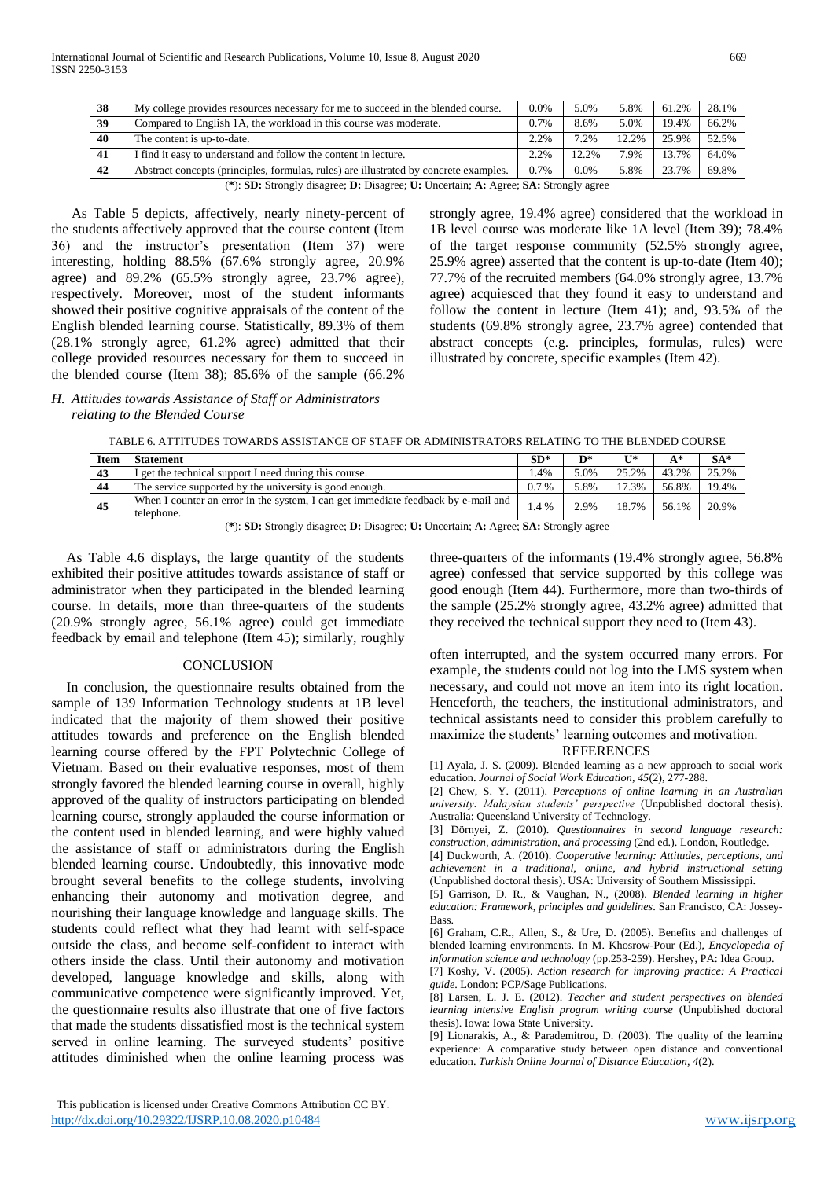| 38 | My college provides resources necessary for me to succeed in the blended course.      | 0.0%                        | 5.0%  | 5.8%  | 61.2% | 28.1% |
|----|---------------------------------------------------------------------------------------|-----------------------------|-------|-------|-------|-------|
| 39 | Compared to English 1A, the workload in this course was moderate.                     | 0.7%                        | 8.6%  | 5.0%  | 19.4% | 66.2% |
| 40 | The content is up-to-date.                                                            | 2.2%                        | 7.2%  | 12.2% | 25.9% | 52.5% |
| 41 | I find it easy to understand and follow the content in lecture.                       | 2.2%                        | 12.2% | 7.9%  | 13.7% | 64.0% |
| 42 | Abstract concepts (principles, formulas, rules) are illustrated by concrete examples. | 0.7%                        | 0.0%  | 5.8%  | 23.7% | 69.8% |
|    | $\sim$ $\sim$ $\sim$                                                                  | $\sim$ $\sim$ $\sim$ $\sim$ |       |       |       |       |

(**\***): **SD:** Strongly disagree; **D:** Disagree; **U:** Uncertain; **A:** Agree; **SA:** Strongly agree

As Table 5 depicts, affectively, nearly ninety-percent of the students affectively approved that the course content (Item 36) and the instructor's presentation (Item 37) were interesting, holding 88.5% (67.6% strongly agree, 20.9% agree) and 89.2% (65.5% strongly agree, 23.7% agree), respectively. Moreover, most of the student informants showed their positive cognitive appraisals of the content of the English blended learning course. Statistically, 89.3% of them (28.1% strongly agree, 61.2% agree) admitted that their college provided resources necessary for them to succeed in the blended course (Item 38); 85.6% of the sample (66.2%

*H. Attitudes towards Assistance of Staff or Administrators* 

strongly agree, 19.4% agree) considered that the workload in 1B level course was moderate like 1A level (Item 39); 78.4% of the target response community (52.5% strongly agree, 25.9% agree) asserted that the content is up-to-date (Item 40); 77.7% of the recruited members (64.0% strongly agree, 13.7% agree) acquiesced that they found it easy to understand and follow the content in lecture (Item 41); and, 93.5% of the students (69.8% strongly agree, 23.7% agree) contended that abstract concepts (e.g. principles, formulas, rules) were illustrated by concrete, specific examples (Item 42).

# *relating to the Blended Course*

| <b>Item</b> | <b>Statement</b>                                                                                | $SD*$   | D*   | $II*$ | A*    | $SA*$ |
|-------------|-------------------------------------------------------------------------------------------------|---------|------|-------|-------|-------|
| 43          | I get the technical support I need during this course.                                          | .4%     | 5.0% | 25.2% | 43.2% | 25.2% |
| 44          | The service supported by the university is good enough.                                         | $0.7\%$ | 5.8% | 17.3% | 56.8% | 19.4% |
| 45          | When I counter an error in the system, I can get immediate feedback by e-mail and<br>telephone. | 1.4 %   | 2.9% | 18.7% | 56.1% | 20.9% |

TABLE 6. ATTITUDES TOWARDS ASSISTANCE OF STAFF OR ADMINISTRATORS RELATING TO THE BLENDED COURSE

(**\***): **SD:** Strongly disagree; **D:** Disagree; **U:** Uncertain; **A:** Agree; **SA:** Strongly agree

As Table 4.6 displays, the large quantity of the students exhibited their positive attitudes towards assistance of staff or administrator when they participated in the blended learning course. In details, more than three-quarters of the students (20.9% strongly agree, 56.1% agree) could get immediate feedback by email and telephone (Item 45); similarly, roughly

# **CONCLUSION**

In conclusion, the questionnaire results obtained from the sample of 139 Information Technology students at 1B level indicated that the majority of them showed their positive attitudes towards and preference on the English blended learning course offered by the FPT Polytechnic College of Vietnam. Based on their evaluative responses, most of them strongly favored the blended learning course in overall, highly approved of the quality of instructors participating on blended learning course, strongly applauded the course information or the content used in blended learning, and were highly valued the assistance of staff or administrators during the English blended learning course. Undoubtedly, this innovative mode brought several benefits to the college students, involving enhancing their autonomy and motivation degree, and nourishing their language knowledge and language skills. The students could reflect what they had learnt with self-space outside the class, and become self-confident to interact with others inside the class. Until their autonomy and motivation developed, language knowledge and skills, along with communicative competence were significantly improved. Yet, the questionnaire results also illustrate that one of five factors that made the students dissatisfied most is the technical system served in online learning. The surveyed students' positive attitudes diminished when the online learning process was

three-quarters of the informants (19.4% strongly agree, 56.8% agree) confessed that service supported by this college was good enough (Item 44). Furthermore, more than two-thirds of the sample (25.2% strongly agree, 43.2% agree) admitted that they received the technical support they need to (Item 43).

often interrupted, and the system occurred many errors. For example, the students could not log into the LMS system when necessary, and could not move an item into its right location. Henceforth, the teachers, the institutional administrators, and technical assistants need to consider this problem carefully to maximize the students' learning outcomes and motivation.

#### REFERENCES

[1] Ayala, J. S. (2009). Blended learning as a new approach to social work education. *Journal of Social Work Education, 45*(2), 277-288.

[2] Chew, S. Y. (2011). *Perceptions of online learning in an Australian university: Malaysian students' perspective* (Unpublished doctoral thesis). Australia: Queensland University of Technology.

[3] Dörnyei, Z. (2010). *Questionnaires in second language research: construction, administration, and processing* (2nd ed.). London, Routledge.

[4] Duckworth, A. (2010). *Cooperative learning: Attitudes, perceptions, and achievement in a traditional, online, and hybrid instructional setting* (Unpublished doctoral thesis). USA: University of Southern Mississippi.

[5] Garrison, D. R., & Vaughan, N., (2008). *Blended learning in higher education: Framework, principles and guidelines*. San Francisco, CA: Jossey-Bass.

[6] Graham, C.R., Allen, S., & Ure, D. (2005). Benefits and challenges of blended learning environments. In M. Khosrow-Pour (Ed.), *Encyclopedia of information science and technology* (pp.253-259). Hershey, PA: Idea Group. [7] Koshy, V. (2005). *Action research for improving practice: A Practical guide*. London: PCP/Sage Publications.

[8] Larsen, L. J. E. (2012). *Teacher and student perspectives on blended learning intensive English program writing course* (Unpublished doctoral thesis). Iowa: Iowa State University.

[9] Lionarakis, A., & Parademitrou, D. (2003). The quality of the learning experience: A comparative study between open distance and conventional education. *Turkish Online Journal of Distance Education, 4*(2).